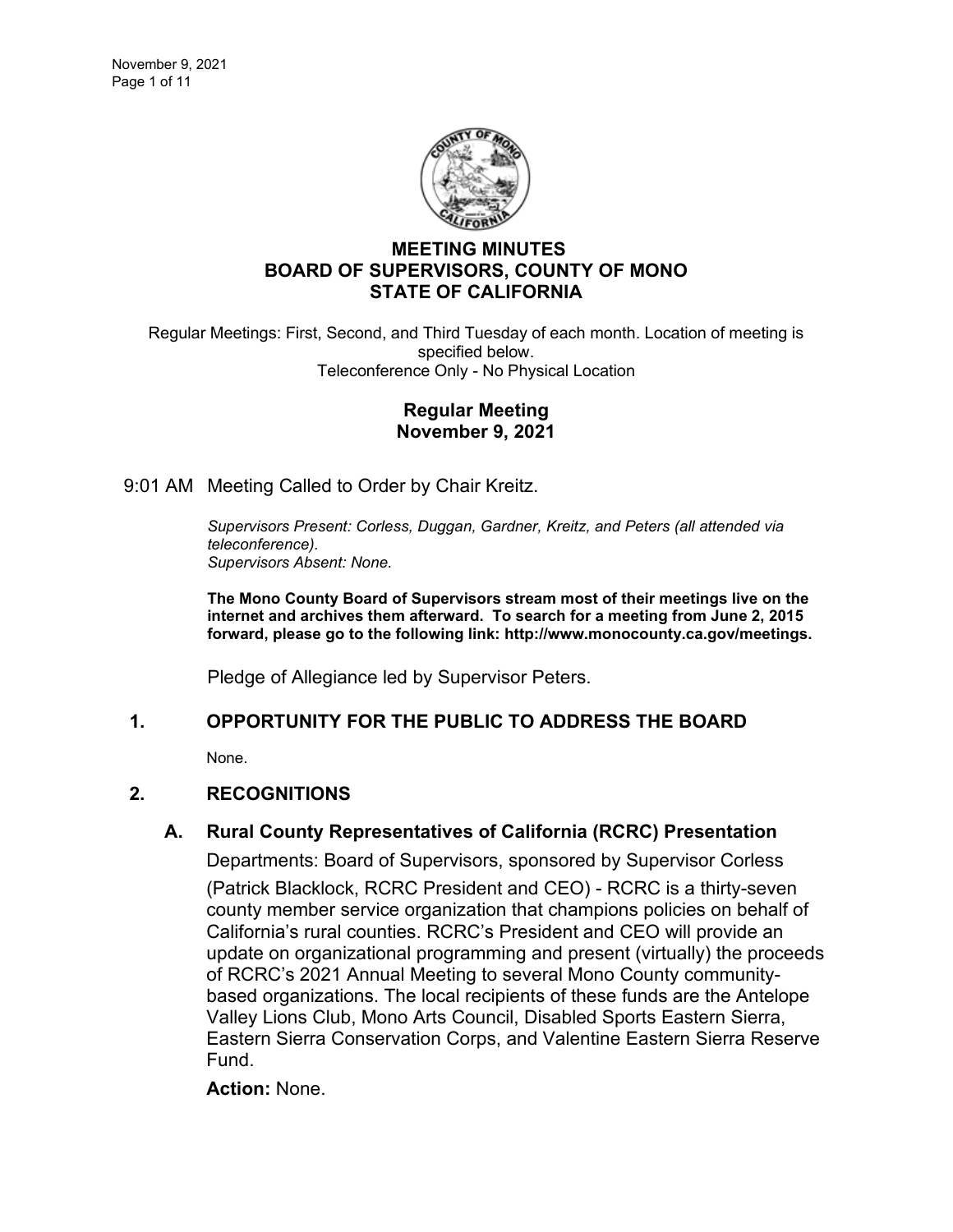

# **MEETING MINUTES BOARD OF SUPERVISORS, COUNTY OF MONO STATE OF CALIFORNIA**

Regular Meetings: First, Second, and Third Tuesday of each month. Location of meeting is specified below. Teleconference Only - No Physical Location

### **Regular Meeting November 9, 2021**

9:01 AM Meeting Called to Order by Chair Kreitz.

*Supervisors Present: Corless, Duggan, Gardner, Kreitz, and Peters (all attended via teleconference). Supervisors Absent: None.*

**The Mono County Board of Supervisors stream most of their meetings live on the internet and archives them afterward. To search for a meeting from June 2, 2015 forward, please go to the following link: [http://www.monocounty.ca.gov/meetings.](http://www.monocounty.ca.gov/meetings)**

Pledge of Allegiance led by Supervisor Peters.

## **1. OPPORTUNITY FOR THE PUBLIC TO ADDRESS THE BOARD**

None.

## **2. RECOGNITIONS**

## **A. [Rural County Representatives of California \(RCRC\) Presentation](https://agenda.mono.ca.gov/AgendaWeb/CoverSheet.aspx?ItemID=13713&MeetingID=807)**

Departments: Board of Supervisors, sponsored by Supervisor Corless

(Patrick Blacklock, RCRC President and CEO) - RCRC is a thirty-seven county member service organization that champions policies on behalf of California's rural counties. RCRC's President and CEO will provide an update on organizational programming and present (virtually) the proceeds of RCRC's 2021 Annual Meeting to several Mono County communitybased organizations. The local recipients of these funds are the Antelope Valley Lions Club, Mono Arts Council, Disabled Sports Eastern Sierra, Eastern Sierra Conservation Corps, and Valentine Eastern Sierra Reserve Fund.

**Action:** None.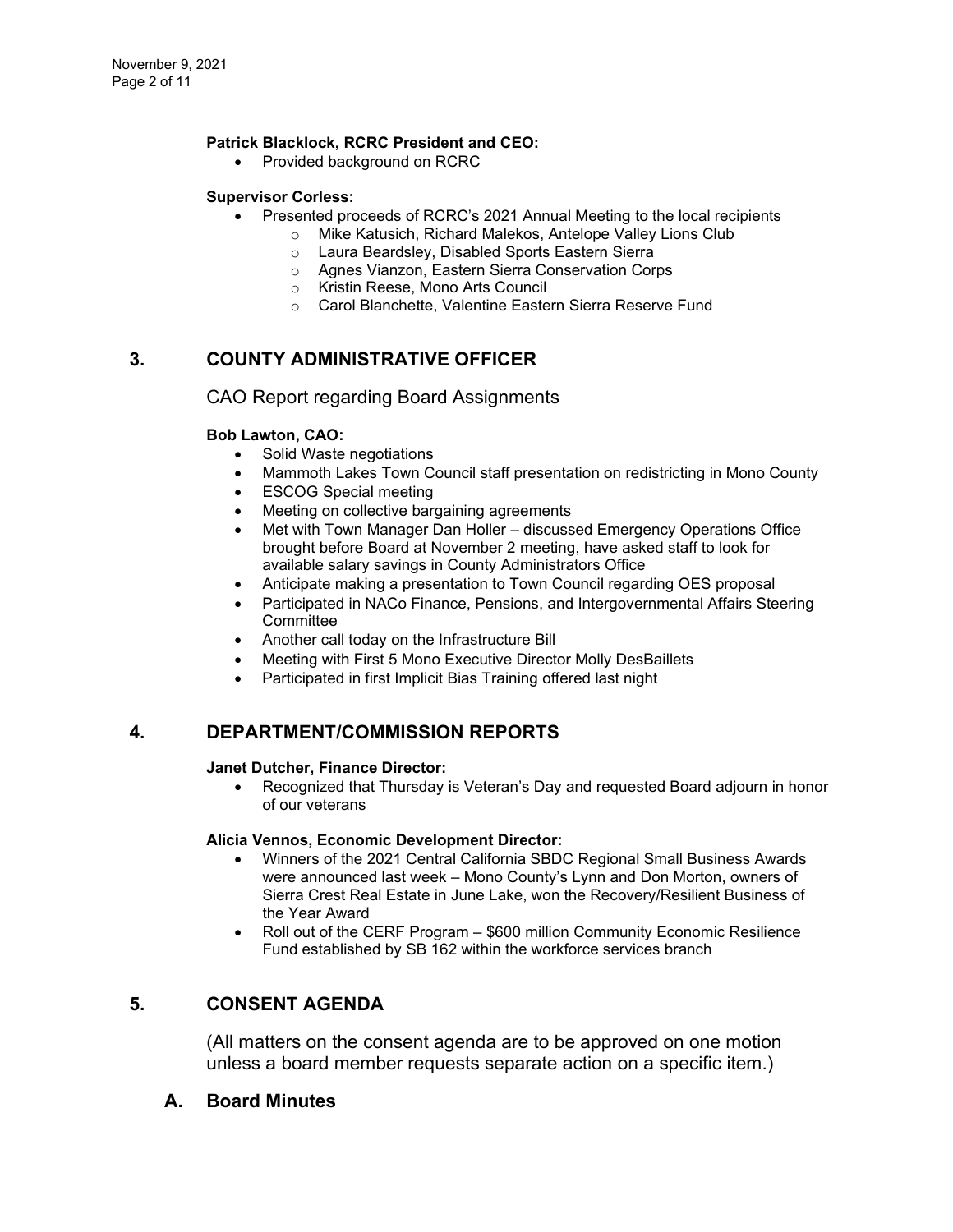#### **Patrick Blacklock, RCRC President and CEO:**

• Provided background on RCRC

#### **Supervisor Corless:**

- Presented proceeds of RCRC's 2021 Annual Meeting to the local recipients
	- o Mike Katusich, Richard Malekos, Antelope Valley Lions Club
	- o Laura Beardsley, Disabled Sports Eastern Sierra
	- o Agnes Vianzon, Eastern Sierra Conservation Corps
	- o Kristin Reese, Mono Arts Council
	- o Carol Blanchette, Valentine Eastern Sierra Reserve Fund

# **3. COUNTY ADMINISTRATIVE OFFICER**

### CAO Report regarding Board Assignments

### **Bob Lawton, CAO:**

- Solid Waste negotiations
- Mammoth Lakes Town Council staff presentation on redistricting in Mono County
- ESCOG Special meeting
- Meeting on collective bargaining agreements
- Met with Town Manager Dan Holler discussed Emergency Operations Office brought before Board at November 2 meeting, have asked staff to look for available salary savings in County Administrators Office
- Anticipate making a presentation to Town Council regarding OES proposal
- Participated in NACo Finance, Pensions, and Intergovernmental Affairs Steering **Committee**
- Another call today on the Infrastructure Bill
- Meeting with First 5 Mono Executive Director Molly DesBaillets
- Participated in first Implicit Bias Training offered last night

### **4. DEPARTMENT/COMMISSION REPORTS**

#### **Janet Dutcher, Finance Director:**

• Recognized that Thursday is Veteran's Day and requested Board adjourn in honor of our veterans

#### **Alicia Vennos, Economic Development Director:**

- Winners of the 2021 Central California SBDC Regional Small Business Awards were announced last week – Mono County's Lynn and Don Morton, owners of Sierra Crest Real Estate in June Lake, won the Recovery/Resilient Business of the Year Award
- Roll out of the CERF Program \$600 million Community Economic Resilience Fund established by SB 162 within the workforce services branch

## **5. CONSENT AGENDA**

(All matters on the consent agenda are to be approved on one motion unless a board member requests separate action on a specific item.)

### **A. [Board Minutes](https://agenda.mono.ca.gov/AgendaWeb/CoverSheet.aspx?ItemID=13724&MeetingID=807)**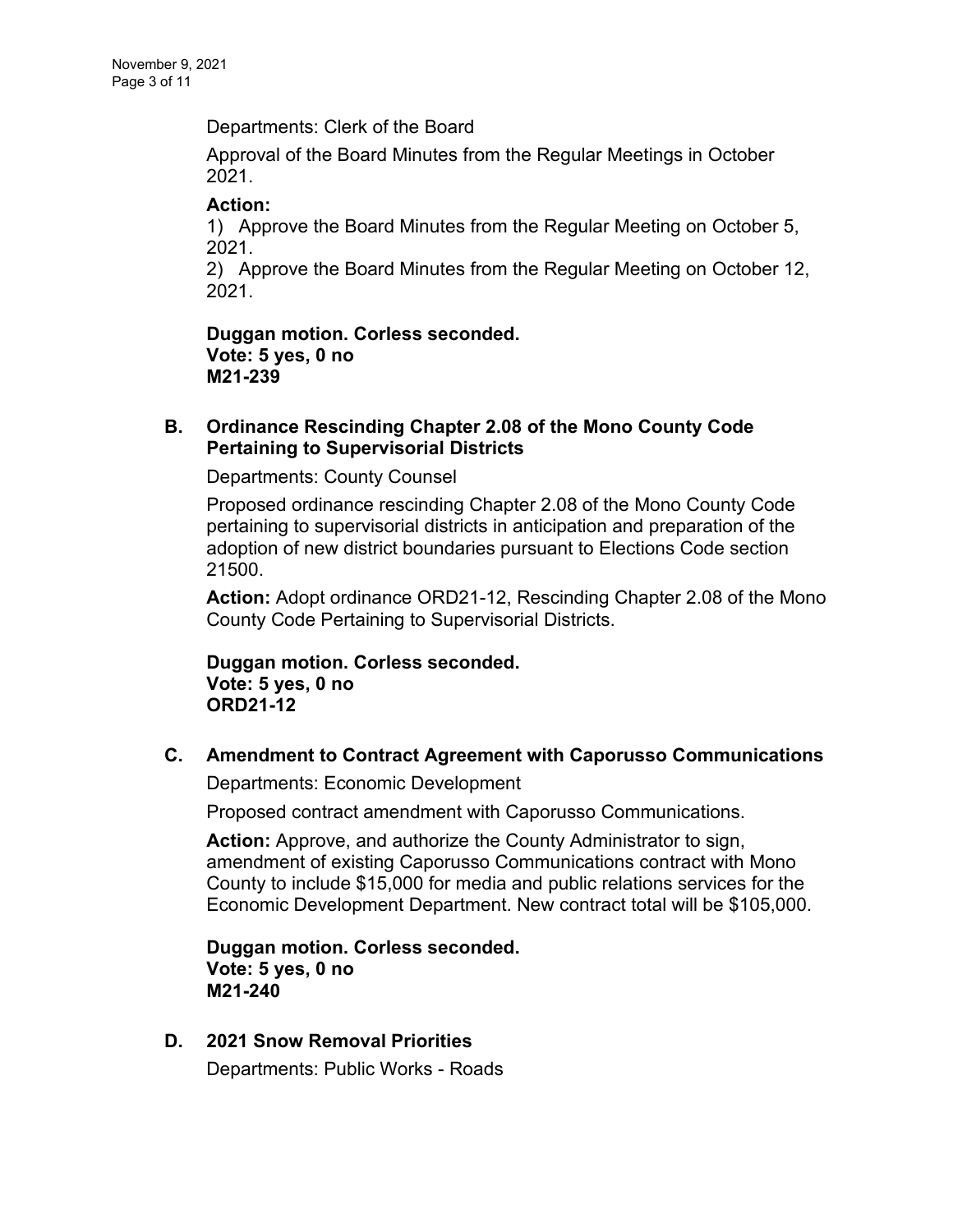Departments: Clerk of the Board

Approval of the Board Minutes from the Regular Meetings in October 2021.

## **Action:**

1) Approve the Board Minutes from the Regular Meeting on October 5, 2021.

2) Approve the Board Minutes from the Regular Meeting on October 12, 2021.

**Duggan motion. Corless seconded. Vote: 5 yes, 0 no M21-239**

# **B. [Ordinance Rescinding Chapter 2.08 of the Mono County Code](https://agenda.mono.ca.gov/AgendaWeb/CoverSheet.aspx?ItemID=13717&MeetingID=807)  [Pertaining to Supervisorial Districts](https://agenda.mono.ca.gov/AgendaWeb/CoverSheet.aspx?ItemID=13717&MeetingID=807)**

Departments: County Counsel

Proposed ordinance rescinding Chapter 2.08 of the Mono County Code pertaining to supervisorial districts in anticipation and preparation of the adoption of new district boundaries pursuant to Elections Code section 21500.

**Action:** Adopt ordinance ORD21-12, Rescinding Chapter 2.08 of the Mono County Code Pertaining to Supervisorial Districts.

**Duggan motion. Corless seconded. Vote: 5 yes, 0 no ORD21-12**

# **C. [Amendment to Contract Agreement with Caporusso Communications](https://agenda.mono.ca.gov/AgendaWeb/CoverSheet.aspx?ItemID=13719&MeetingID=807)**

Departments: Economic Development

Proposed contract amendment with Caporusso Communications.

**Action:** Approve, and authorize the County Administrator to sign, amendment of existing Caporusso Communications contract with Mono County to include \$15,000 for media and public relations services for the Economic Development Department. New contract total will be \$105,000.

**Duggan motion. Corless seconded. Vote: 5 yes, 0 no M21-240**

**D. [2021 Snow Removal Priorities](https://agenda.mono.ca.gov/AgendaWeb/CoverSheet.aspx?ItemID=13695&MeetingID=807)** Departments: Public Works - Roads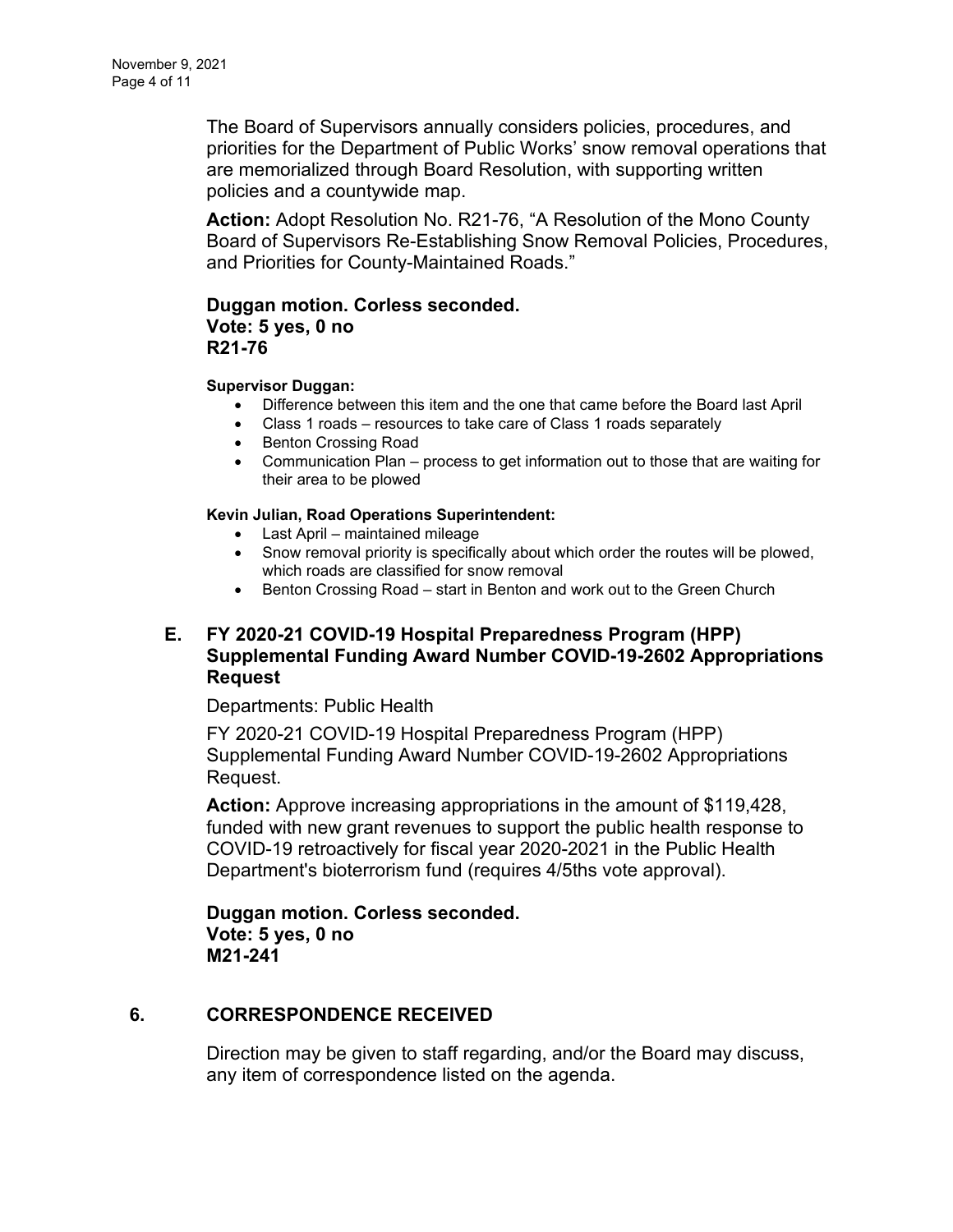The Board of Supervisors annually considers policies, procedures, and priorities for the Department of Public Works' snow removal operations that are memorialized through Board Resolution, with supporting written policies and a countywide map.

**Action:** Adopt Resolution No. R21-76, "A Resolution of the Mono County Board of Supervisors Re-Establishing Snow Removal Policies, Procedures, and Priorities for County-Maintained Roads."

## **Duggan motion. Corless seconded. Vote: 5 yes, 0 no R21-76**

#### **Supervisor Duggan:**

- Difference between this item and the one that came before the Board last April
- Class 1 roads resources to take care of Class 1 roads separately
- Benton Crossing Road
- Communication Plan process to get information out to those that are waiting for their area to be plowed

### **Kevin Julian, Road Operations Superintendent:**

- Last April maintained mileage
- Snow removal priority is specifically about which order the routes will be plowed, which roads are classified for snow removal
- Benton Crossing Road start in Benton and work out to the Green Church

# **E. [FY 2020-21 COVID-19 Hospital Preparedness Program \(HPP\)](https://agenda.mono.ca.gov/AgendaWeb/CoverSheet.aspx?ItemID=13733&MeetingID=807)  [Supplemental Funding Award Number COVID-19-2602 Appropriations](https://agenda.mono.ca.gov/AgendaWeb/CoverSheet.aspx?ItemID=13733&MeetingID=807)  [Request](https://agenda.mono.ca.gov/AgendaWeb/CoverSheet.aspx?ItemID=13733&MeetingID=807)**

### Departments: Public Health

FY 2020-21 COVID-19 Hospital Preparedness Program (HPP) Supplemental Funding Award Number COVID-19-2602 Appropriations Request.

**Action:** Approve increasing appropriations in the amount of \$119,428, funded with new grant revenues to support the public health response to COVID-19 retroactively for fiscal year 2020-2021 in the Public Health Department's bioterrorism fund (requires 4/5ths vote approval).

**Duggan motion. Corless seconded. Vote: 5 yes, 0 no M21-241**

## **6. CORRESPONDENCE RECEIVED**

Direction may be given to staff regarding, and/or the Board may discuss, any item of correspondence listed on the agenda.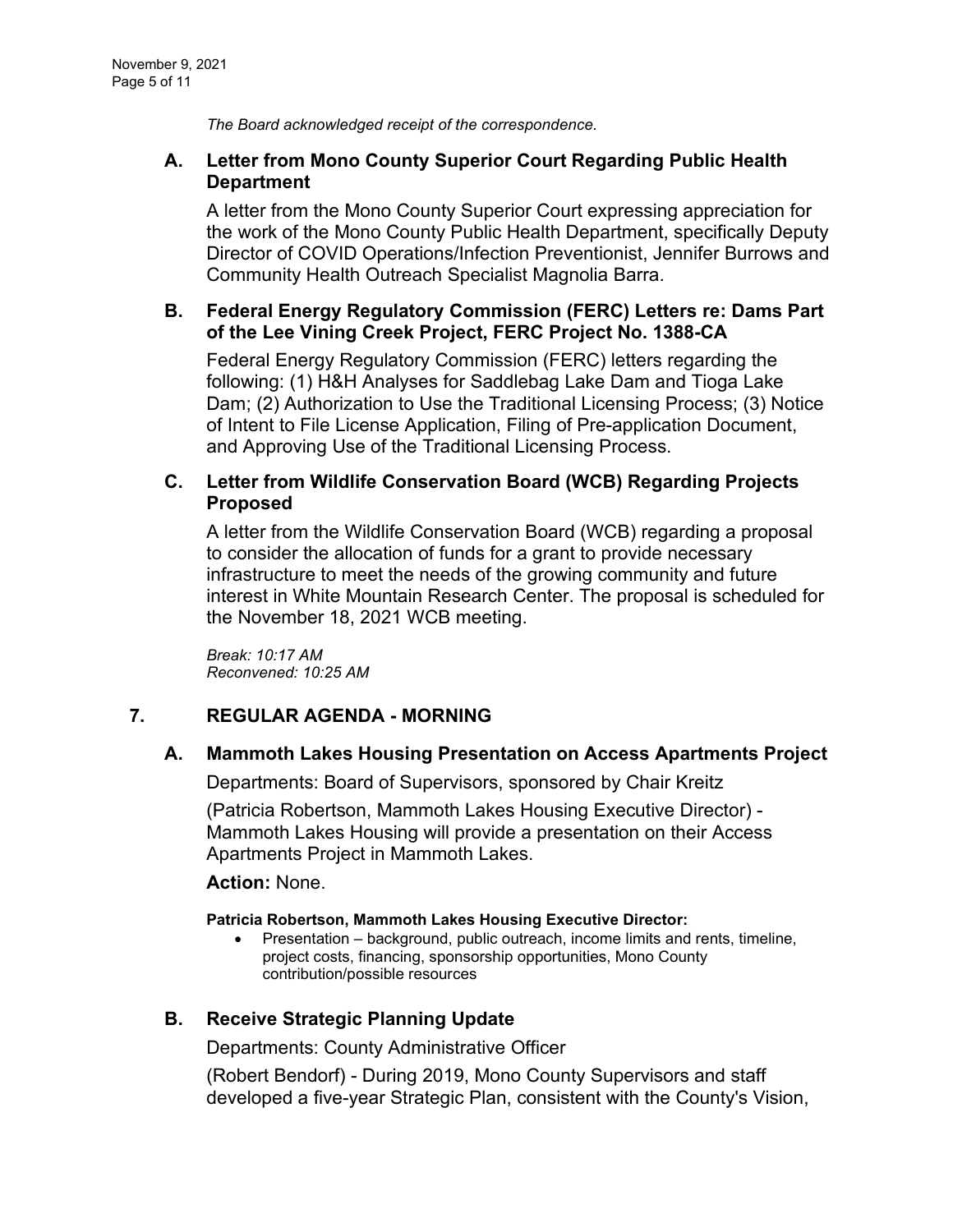*The Board acknowledged receipt of the correspondence.*

## **A. [Letter from Mono County Superior Court Regarding Public Health](https://agenda.mono.ca.gov/AgendaWeb/CoverSheet.aspx?ItemID=13725&MeetingID=807)  [Department](https://agenda.mono.ca.gov/AgendaWeb/CoverSheet.aspx?ItemID=13725&MeetingID=807)**

A letter from the Mono County Superior Court expressing appreciation for the work of the Mono County Public Health Department, specifically Deputy Director of COVID Operations/Infection Preventionist, Jennifer Burrows and Community Health Outreach Specialist Magnolia Barra.

### **B. [Federal Energy Regulatory Commission \(FERC\) Letters re: Dams Part](https://agenda.mono.ca.gov/AgendaWeb/CoverSheet.aspx?ItemID=13726&MeetingID=807)  [of the Lee Vining Creek Project, FERC Project No. 1388-CA](https://agenda.mono.ca.gov/AgendaWeb/CoverSheet.aspx?ItemID=13726&MeetingID=807)**

Federal Energy Regulatory Commission (FERC) letters regarding the following: (1) H&H Analyses for Saddlebag Lake Dam and Tioga Lake Dam; (2) Authorization to Use the Traditional Licensing Process; (3) Notice of Intent to File License Application, Filing of Pre-application Document, and Approving Use of the Traditional Licensing Process.

### **C. [Letter from Wildlife Conservation Board \(WCB\) Regarding Projects](https://agenda.mono.ca.gov/AgendaWeb/CoverSheet.aspx?ItemID=13728&MeetingID=807)  [Proposed](https://agenda.mono.ca.gov/AgendaWeb/CoverSheet.aspx?ItemID=13728&MeetingID=807)**

A letter from the Wildlife Conservation Board (WCB) regarding a proposal to consider the allocation of funds for a grant to provide necessary infrastructure to meet the needs of the growing community and future interest in White Mountain Research Center. The proposal is scheduled for the November 18, 2021 WCB meeting.

*Break: 10:17 AM Reconvened: 10:25 AM*

## **7. REGULAR AGENDA - MORNING**

### **A. [Mammoth Lakes Housing Presentation on Access Apartments Project](https://agenda.mono.ca.gov/AgendaWeb/CoverSheet.aspx?ItemID=13715&MeetingID=807)**

Departments: Board of Supervisors, sponsored by Chair Kreitz

(Patricia Robertson, Mammoth Lakes Housing Executive Director) - Mammoth Lakes Housing will provide a presentation on their Access Apartments Project in Mammoth Lakes.

### **Action:** None.

#### **Patricia Robertson, Mammoth Lakes Housing Executive Director:**

• Presentation – background, public outreach, income limits and rents, timeline, project costs, financing, sponsorship opportunities, Mono County contribution/possible resources

## **B. [Receive Strategic Planning Update](https://agenda.mono.ca.gov/AgendaWeb/CoverSheet.aspx?ItemID=13753&MeetingID=807)**

Departments: County Administrative Officer

(Robert Bendorf) - During 2019, Mono County Supervisors and staff developed a five-year Strategic Plan, consistent with the County's Vision,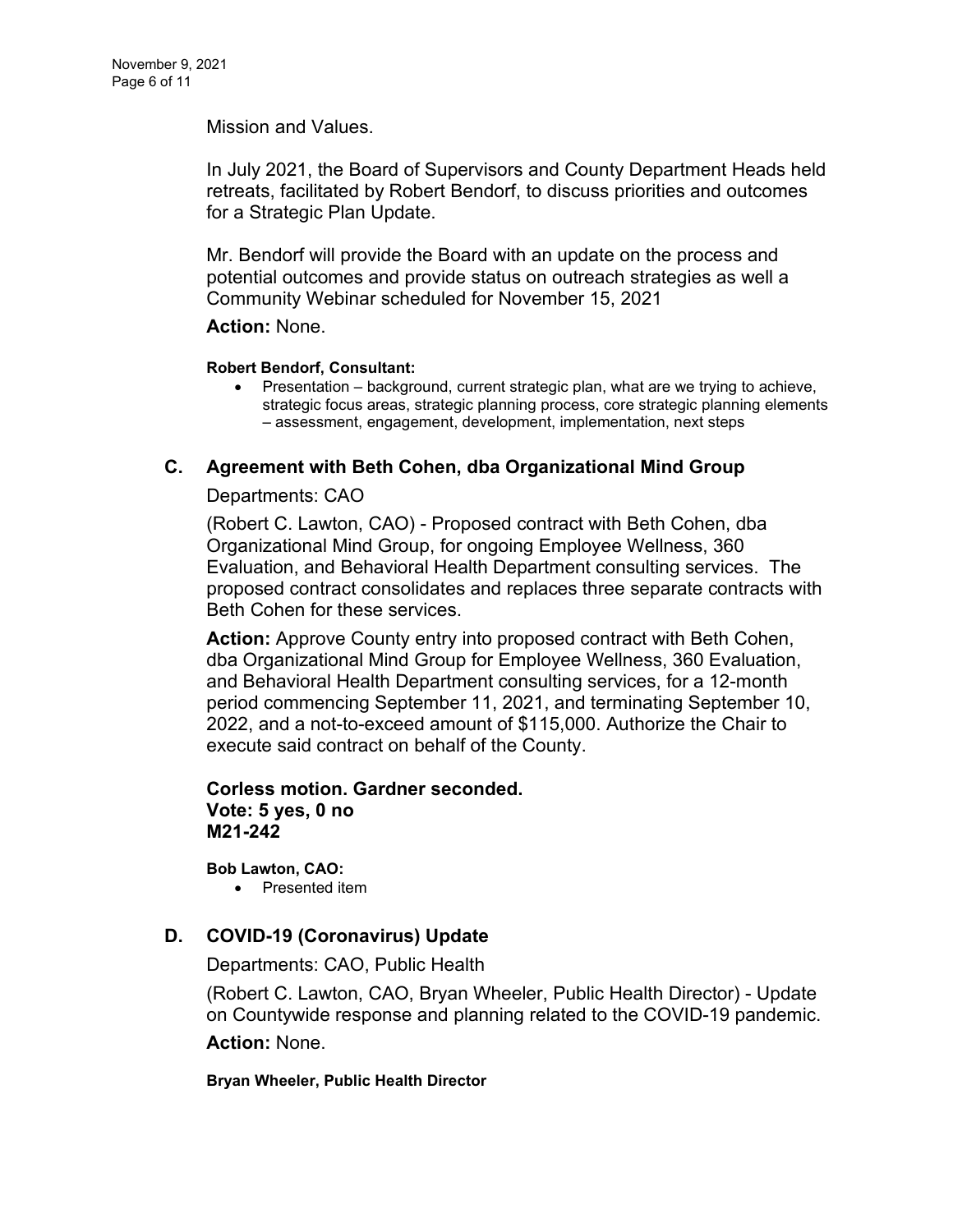Mission and Values.

In July 2021, the Board of Supervisors and County Department Heads held retreats, facilitated by Robert Bendorf, to discuss priorities and outcomes for a Strategic Plan Update.

Mr. Bendorf will provide the Board with an update on the process and potential outcomes and provide status on outreach strategies as well a Community Webinar scheduled for November 15, 2021

### **Action:** None.

### **Robert Bendorf, Consultant:**

• Presentation – background, current strategic plan, what are we trying to achieve, strategic focus areas, strategic planning process, core strategic planning elements – assessment, engagement, development, implementation, next steps

# **C. [Agreement with Beth Cohen, dba Organizational Mind Group](https://agenda.mono.ca.gov/AgendaWeb/CoverSheet.aspx?ItemID=13723&MeetingID=807)**

### Departments: CAO

(Robert C. Lawton, CAO) - Proposed contract with Beth Cohen, dba Organizational Mind Group, for ongoing Employee Wellness, 360 Evaluation, and Behavioral Health Department consulting services. The proposed contract consolidates and replaces three separate contracts with Beth Cohen for these services.

**Action:** Approve County entry into proposed contract with Beth Cohen, dba Organizational Mind Group for Employee Wellness, 360 Evaluation, and Behavioral Health Department consulting services, for a 12-month period commencing September 11, 2021, and terminating September 10, 2022, and a not-to-exceed amount of \$115,000. Authorize the Chair to execute said contract on behalf of the County.

### **Corless motion. Gardner seconded. Vote: 5 yes, 0 no M21-242**

**Bob Lawton, CAO:**

• Presented item

## **D. [COVID-19 \(Coronavirus\) Update](https://agenda.mono.ca.gov/AgendaWeb/CoverSheet.aspx?ItemID=13584&MeetingID=807)**

Departments: CAO, Public Health

(Robert C. Lawton, CAO, Bryan Wheeler, Public Health Director) - Update on Countywide response and planning related to the COVID-19 pandemic.

**Action:** None.

#### **Bryan Wheeler, Public Health Director**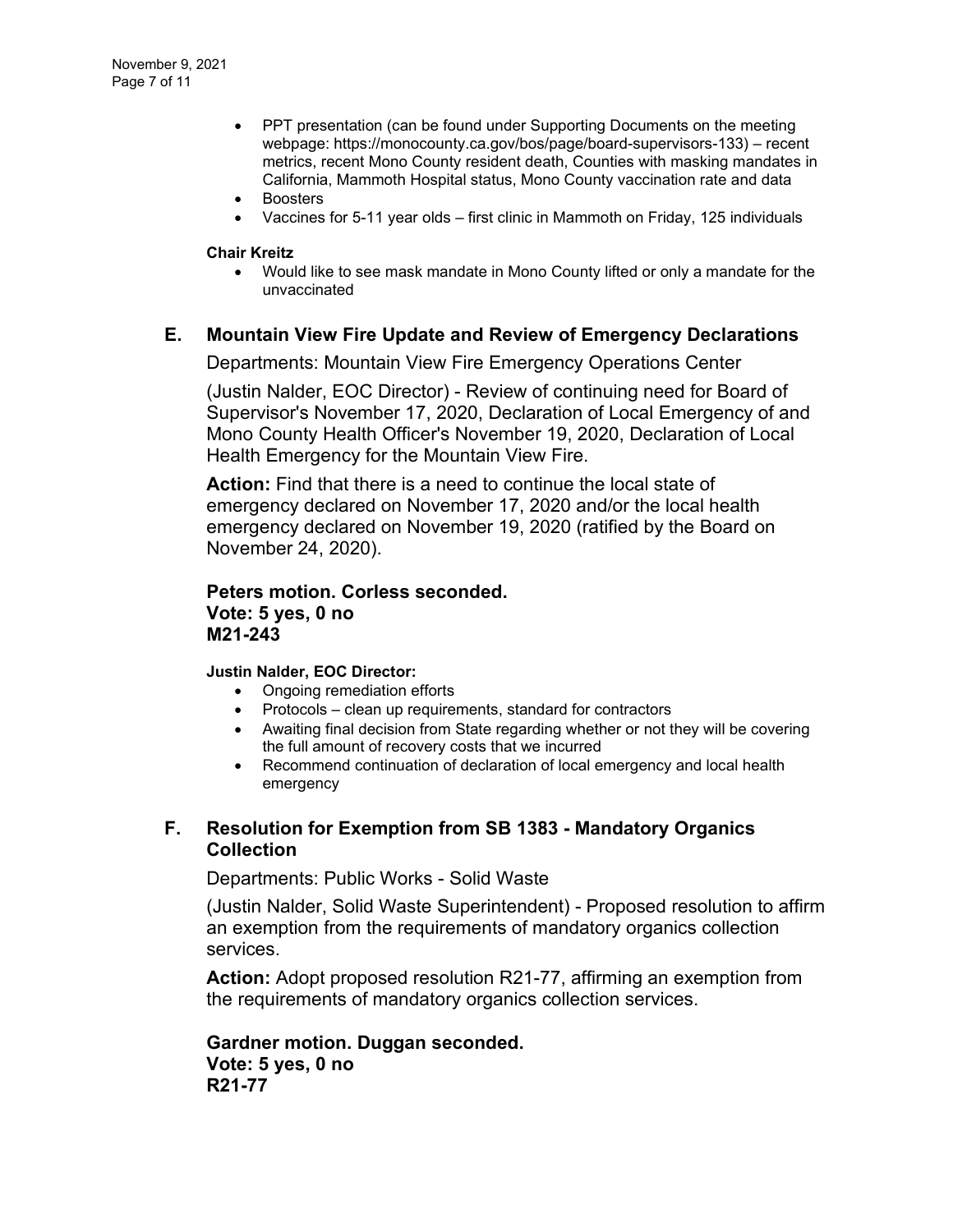- PPT presentation (can be found under Supporting Documents on the meeting webpage: https://monocounty.ca.gov/bos/page/board-supervisors-133) – recent metrics, recent Mono County resident death, Counties with masking mandates in California, Mammoth Hospital status, Mono County vaccination rate and data
- **Boosters**
- Vaccines for 5-11 year olds first clinic in Mammoth on Friday, 125 individuals

#### **Chair Kreitz**

• Would like to see mask mandate in Mono County lifted or only a mandate for the unvaccinated

### **E. [Mountain View Fire Update and Review of Emergency Declarations](https://agenda.mono.ca.gov/AgendaWeb/CoverSheet.aspx?ItemID=13662&MeetingID=807)**

Departments: Mountain View Fire Emergency Operations Center

(Justin Nalder, EOC Director) - Review of continuing need for Board of Supervisor's November 17, 2020, Declaration of Local Emergency of and Mono County Health Officer's November 19, 2020, Declaration of Local Health Emergency for the Mountain View Fire.

**Action:** Find that there is a need to continue the local state of emergency declared on November 17, 2020 and/or the local health emergency declared on November 19, 2020 (ratified by the Board on November 24, 2020).

**Peters motion. Corless seconded. Vote: 5 yes, 0 no M21-243**

#### **Justin Nalder, EOC Director:**

- Ongoing remediation efforts
- Protocols clean up requirements, standard for contractors
- Awaiting final decision from State regarding whether or not they will be covering the full amount of recovery costs that we incurred
- Recommend continuation of declaration of local emergency and local health emergency

### **F. [Resolution for Exemption from SB 1383 -](https://agenda.mono.ca.gov/AgendaWeb/CoverSheet.aspx?ItemID=13685&MeetingID=807) Mandatory Organics [Collection](https://agenda.mono.ca.gov/AgendaWeb/CoverSheet.aspx?ItemID=13685&MeetingID=807)**

Departments: Public Works - Solid Waste

(Justin Nalder, Solid Waste Superintendent) - Proposed resolution to affirm an exemption from the requirements of mandatory organics collection services.

**Action:** Adopt proposed resolution R21-77, affirming an exemption from the requirements of mandatory organics collection services.

**Gardner motion. Duggan seconded. Vote: 5 yes, 0 no R21-77**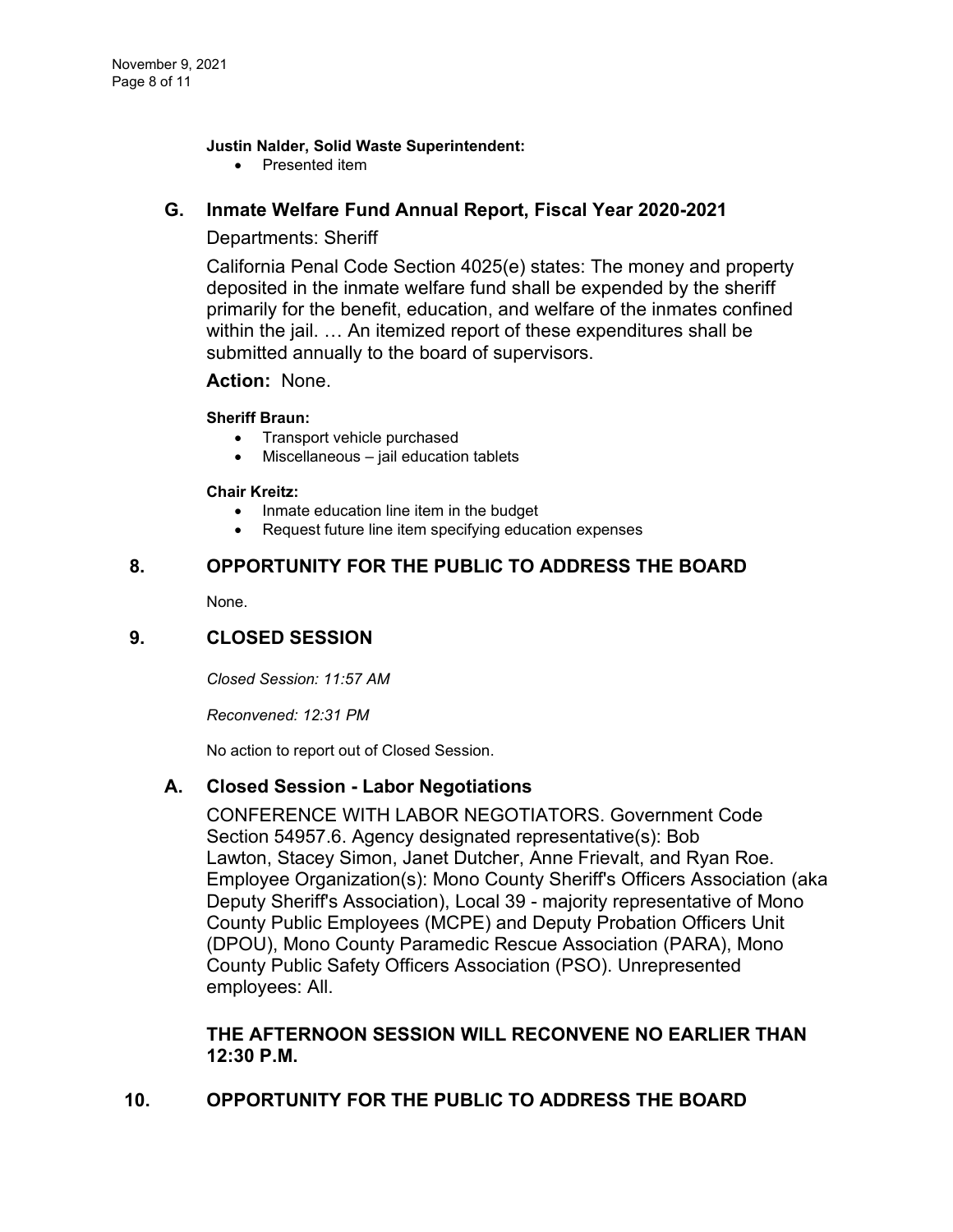### **Justin Nalder, Solid Waste Superintendent:**

• Presented item

## **G. [Inmate Welfare Fund Annual Report, Fiscal Year 2020-2021](https://agenda.mono.ca.gov/AgendaWeb/CoverSheet.aspx?ItemID=13722&MeetingID=807)**

## Departments: Sheriff

California Penal Code Section 4025(e) states: The money and property deposited in the inmate welfare fund shall be expended by the sheriff primarily for the benefit, education, and welfare of the inmates confined within the jail. … An itemized report of these expenditures shall be submitted annually to the board of supervisors.

### **Action:** None.

### **Sheriff Braun:**

- Transport vehicle purchased
- Miscellaneous jail education tablets

#### **Chair Kreitz:**

- Inmate education line item in the budget
- Request future line item specifying education expenses

### **8. OPPORTUNITY FOR THE PUBLIC TO ADDRESS THE BOARD**

None.

## **9. CLOSED SESSION**

*Closed Session: 11:57 AM* 

*Reconvened: 12:31 PM*

No action to report out of Closed Session.

## **A. Closed Session - [Labor Negotiations](https://agenda.mono.ca.gov/AgendaWeb/CoverSheet.aspx?ItemID=13570&MeetingID=807)**

CONFERENCE WITH LABOR NEGOTIATORS. Government Code Section 54957.6. Agency designated representative(s): Bob Lawton, Stacey Simon, Janet Dutcher, Anne Frievalt, and Ryan Roe. Employee Organization(s): Mono County Sheriff's Officers Association (aka Deputy Sheriff's Association), Local 39 - majority representative of Mono County Public Employees (MCPE) and Deputy Probation Officers Unit (DPOU), Mono County Paramedic Rescue Association (PARA), Mono County Public Safety Officers Association (PSO). Unrepresented employees: All.

## **THE AFTERNOON SESSION WILL RECONVENE NO EARLIER THAN 12:30 P.M.**

# **10. OPPORTUNITY FOR THE PUBLIC TO ADDRESS THE BOARD**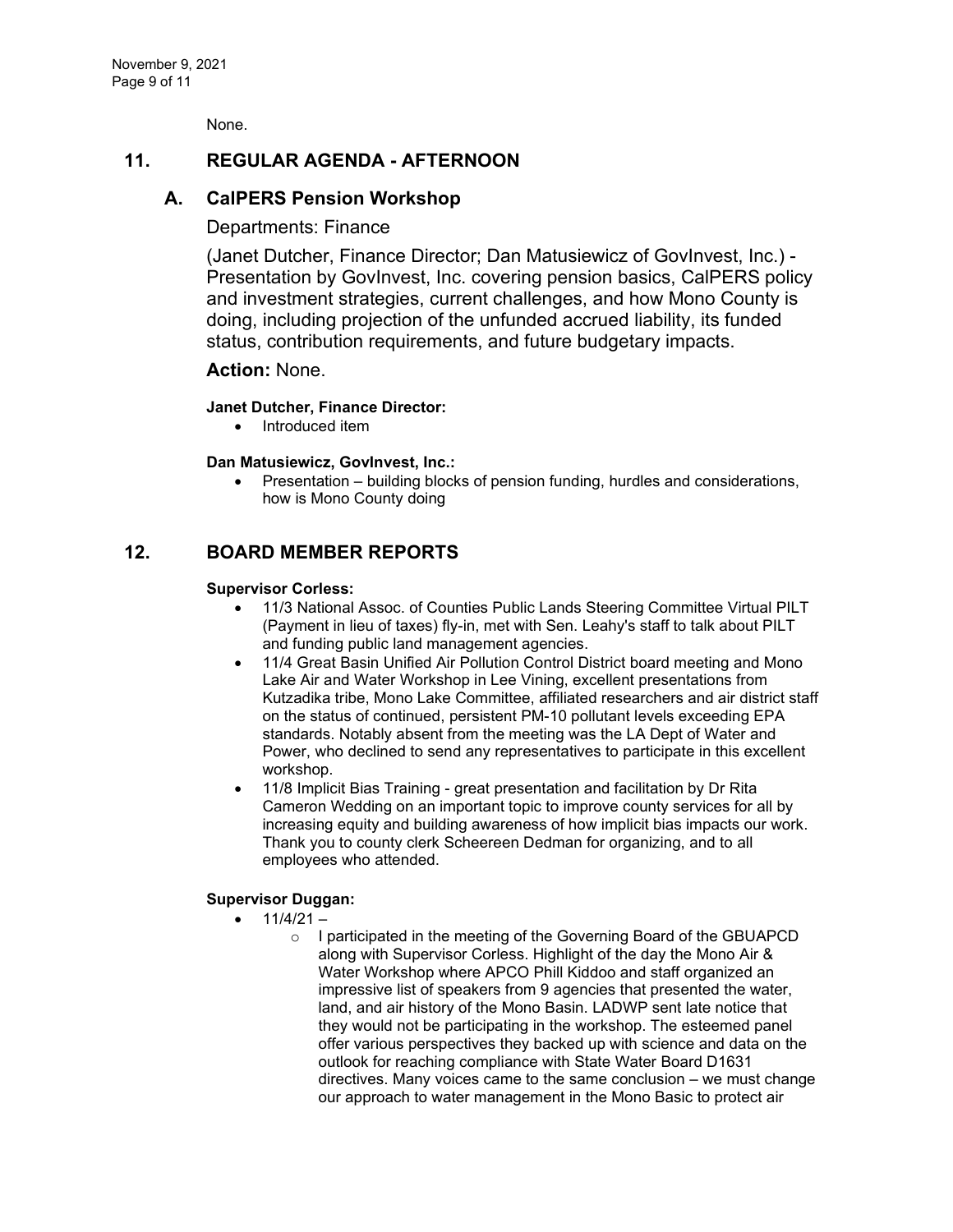None.

### **11. REGULAR AGENDA - AFTERNOON**

### **A. [CalPERS Pension Workshop](https://agenda.mono.ca.gov/AgendaWeb/CoverSheet.aspx?ItemID=13680&MeetingID=807)**

#### Departments: Finance

(Janet Dutcher, Finance Director; Dan Matusiewicz of GovInvest, Inc.) - Presentation by GovInvest, Inc. covering pension basics, CalPERS policy and investment strategies, current challenges, and how Mono County is doing, including projection of the unfunded accrued liability, its funded status, contribution requirements, and future budgetary impacts.

### **Action:** None.

#### **Janet Dutcher, Finance Director:**

• Introduced item

#### **Dan Matusiewicz, GovInvest, Inc.:**

• Presentation – building blocks of pension funding, hurdles and considerations, how is Mono County doing

### **12. BOARD MEMBER REPORTS**

#### **Supervisor Corless:**

- 11/3 National Assoc. of Counties Public Lands Steering Committee Virtual PILT (Payment in lieu of taxes) fly-in, met with Sen. Leahy's staff to talk about PILT and funding public land management agencies.
- 11/4 Great Basin Unified Air Pollution Control District board meeting and Mono Lake Air and Water Workshop in Lee Vining, excellent presentations from Kutzadika tribe, Mono Lake Committee, affiliated researchers and air district staff on the status of continued, persistent PM-10 pollutant levels exceeding EPA standards. Notably absent from the meeting was the LA Dept of Water and Power, who declined to send any representatives to participate in this excellent workshop.
- 11/8 Implicit Bias Training great presentation and facilitation by Dr Rita Cameron Wedding on an important topic to improve county services for all by increasing equity and building awareness of how implicit bias impacts our work. Thank you to county clerk Scheereen Dedman for organizing, and to all employees who attended.

### **Supervisor Duggan:**

- $\bullet$  11/4/21
	- o I participated in the meeting of the Governing Board of the GBUAPCD along with Supervisor Corless. Highlight of the day the Mono Air & Water Workshop where APCO Phill Kiddoo and staff organized an impressive list of speakers from 9 agencies that presented the water, land, and air history of the Mono Basin. LADWP sent late notice that they would not be participating in the workshop. The esteemed panel offer various perspectives they backed up with science and data on the outlook for reaching compliance with State Water Board D1631 directives. Many voices came to the same conclusion – we must change our approach to water management in the Mono Basic to protect air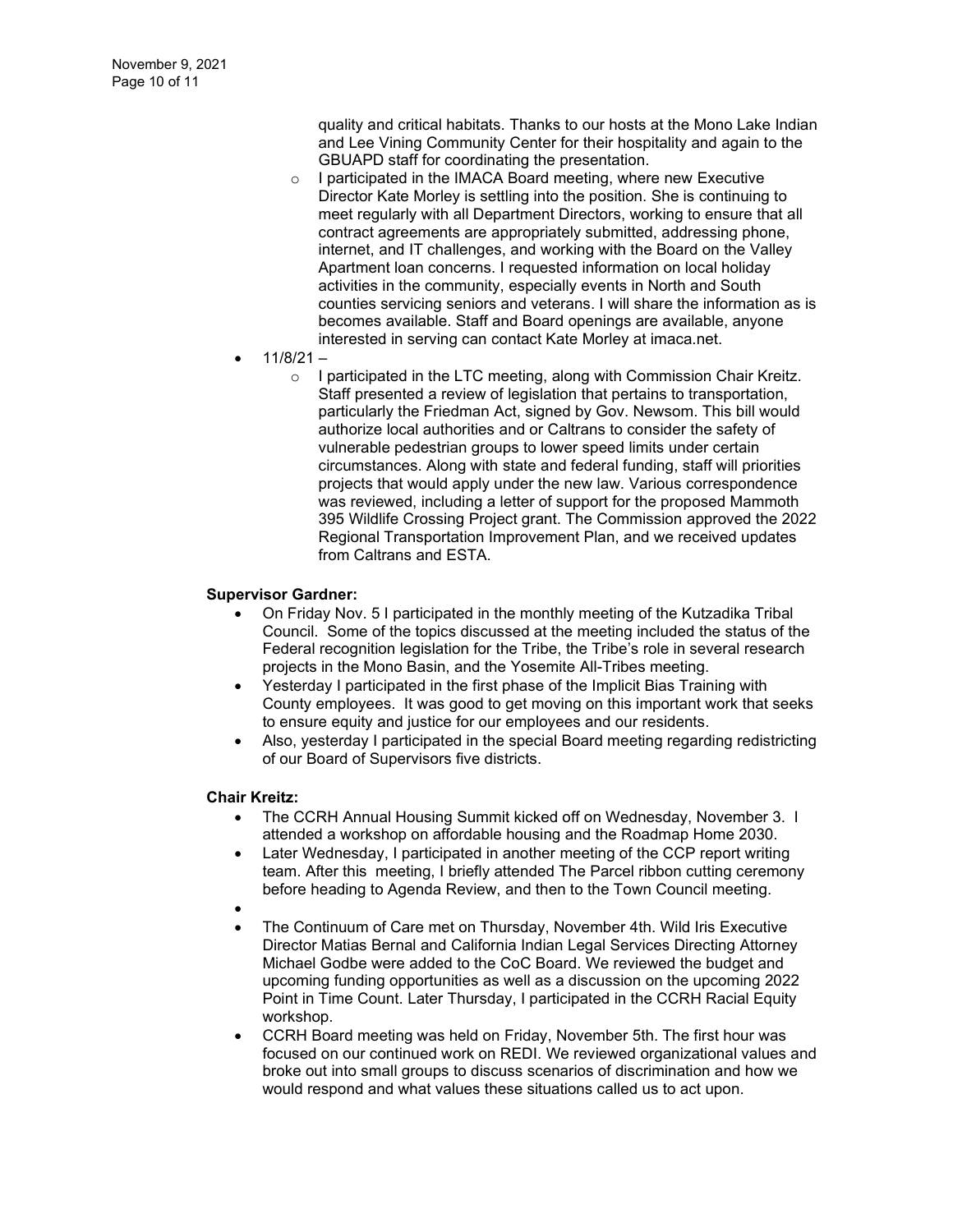quality and critical habitats. Thanks to our hosts at the Mono Lake Indian and Lee Vining Community Center for their hospitality and again to the GBUAPD staff for coordinating the presentation.

- o I participated in the IMACA Board meeting, where new Executive Director Kate Morley is settling into the position. She is continuing to meet regularly with all Department Directors, working to ensure that all contract agreements are appropriately submitted, addressing phone, internet, and IT challenges, and working with the Board on the Valley Apartment loan concerns. I requested information on local holiday activities in the community, especially events in North and South counties servicing seniors and veterans. I will share the information as is becomes available. Staff and Board openings are available, anyone interested in serving can contact Kate Morley at imaca.net.
- 11/8/21
	- o I participated in the LTC meeting, along with Commission Chair Kreitz. Staff presented a review of legislation that pertains to transportation, particularly the Friedman Act, signed by Gov. Newsom. This bill would authorize local authorities and or Caltrans to consider the safety of vulnerable pedestrian groups to lower speed limits under certain circumstances. Along with state and federal funding, staff will priorities projects that would apply under the new law. Various correspondence was reviewed, including a letter of support for the proposed Mammoth 395 Wildlife Crossing Project grant. The Commission approved the 2022 Regional Transportation Improvement Plan, and we received updates from Caltrans and ESTA.

#### **Supervisor Gardner:**

- On Friday Nov. 5 I participated in the monthly meeting of the Kutzadika Tribal Council. Some of the topics discussed at the meeting included the status of the Federal recognition legislation for the Tribe, the Tribe's role in several research projects in the Mono Basin, and the Yosemite All-Tribes meeting.
- Yesterday I participated in the first phase of the Implicit Bias Training with County employees. It was good to get moving on this important work that seeks to ensure equity and justice for our employees and our residents.
- Also, yesterday I participated in the special Board meeting regarding redistricting of our Board of Supervisors five districts.

#### **Chair Kreitz:**

- The CCRH Annual Housing Summit kicked off on Wednesday, November 3. I attended a workshop on affordable housing and the Roadmap Home 2030.
- Later Wednesday, I participated in another meeting of the CCP report writing team. After this meeting, I briefly attended The Parcel ribbon cutting ceremony before heading to Agenda Review, and then to the Town Council meeting.
- •
- The Continuum of Care met on Thursday, November 4th. Wild Iris Executive Director Matias Bernal and California Indian Legal Services Directing Attorney Michael Godbe were added to the CoC Board. We reviewed the budget and upcoming funding opportunities as well as a discussion on the upcoming 2022 Point in Time Count. Later Thursday, I participated in the CCRH Racial Equity workshop.
- CCRH Board meeting was held on Friday, November 5th. The first hour was focused on our continued work on REDI. We reviewed organizational values and broke out into small groups to discuss scenarios of discrimination and how we would respond and what values these situations called us to act upon.